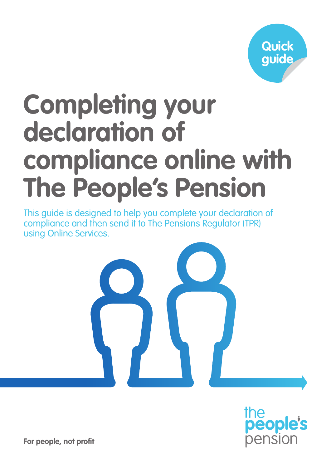

# **Completing your declaration of compliance online with The People's Pension**

This guide is designed to help you complete your declaration of compliance and then send it to The Pensions Regulator (TPR) using Online Services.





**For people, not profit**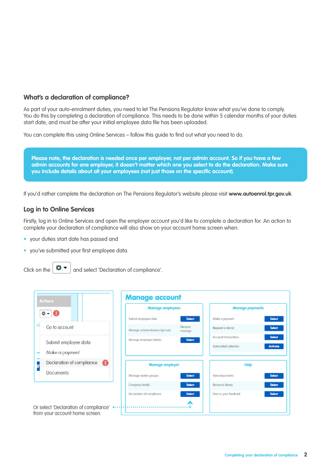## **What's a declaration of compliance?**

As part of your auto-enrolment duties, you need to let The Pensions Regulator know what you've done to comply. You do this by completing a declaration of compliance. This needs to be done within 5 calendar months of your duties start date, and must be after your initial employee data file has been uploaded.

You can complete this using Online Services – follow this guide to find out what you need to do.



If you'd rather complete the declaration on The Pensions Regulator's website please visit **www.autoenrol.tpr.gov.uk**.

## **Log in to Online Services**

Firstly, log in to Online Services and open the employer account you'd like to complete a declaration for. An action to complete your declaration of compliance will also show on your account home screen when:

- your duties start date has passed and
- you've submitted your first employee data.
- Click on the  $\left| \bullet \bullet \bullet \right|$  and select 'Declaration of compliance'.

|                                        |                                | <b>Manage employees</b> |                             | <b>Manage payments</b> |
|----------------------------------------|--------------------------------|-------------------------|-----------------------------|------------------------|
| $\mathbf{v}$ - 0                       | Submit employee data           | <b>Select</b>           | Make a payment              | Select                 |
| Go to account                          | Manage scheme leavers/opt outs | None to<br>manage       | Request a refund            | Select                 |
|                                        | Manage employee details        | Select                  | <b>Account transactions</b> | <b>Select</b>          |
| Submit employee data<br>Make a payment |                                |                         | Automated collection        | <b>Activate</b>        |
| Declaration of compliance<br>o         | <b>Manage employer</b>         |                         | <b>Help</b>                 |                        |
| <b>Documents</b>                       | Manage worker groups           | Select                  | View documents              | Select                 |
|                                        | Company details                | <b>Select</b>           | Resource library            | <b>Select</b>          |
|                                        | Declaration of compliance      | <b>Select</b>           | Give us your feedback       | <b>Select</b>          |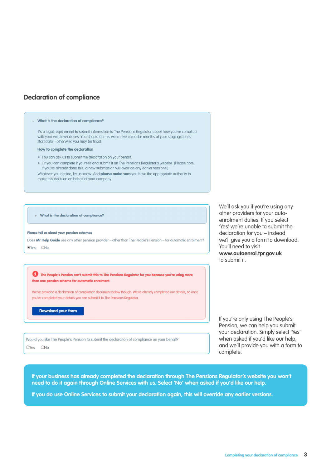## **Declaration of compliance**

#### - What is the declaration of compliance?

It's a legal requirement to submit information to The Pensions Regulator about how you've complied with your employer duties. You should do this within five calendar months of your staging/duties start date - otherwise you may be fined.

#### How to complete the declaration

. You can ask us to submit the declaration on your behalf.

. Or you can complete it yourself and submit it on The Pensions Regulator's website. (Please note, if you've already done this, a new submission will override any earlier versions.)

Whatever you decide, let us know. And please make sure you have the appropriate authority to make this decision on behalf of your company.

+ What is the declaration of compliance?

#### Please tell us about your pension schemes

Does Mr Help Guide use any other pension provider - other than The People's Pension - for automatic enrolment?  $OY_{PS}$   $ONI_{OR}$ 

We'll ask you if you're using any other providers for your autoenrolment duties. If you select 'Yes' we're unable to submit the declaration for you – instead we'll give you a form to download. You'll need to visit **www.autoenrol.tpr.gov.uk** to submit it.

The People's Pension can't submit this to The Pensions Regulator for you because you're using more than one pension scheme for automatic enrolment.

We've provided a declaration of compliance document below though. We've already completed our details, so once you've completed your details you can submit it to The Pensions Regulator.

**Download your form** 

Would you like The People's Pension to submit the declaration of compliance on your behalf?  $OY_{PS}$   $ONo$ 

If you're only using The People's Pension, we can help you submit your declaration. Simply select 'Yes' when asked if you'd like our help, and we'll provide you with a form to complete.

**If your business has already completed the declaration through The Pensions Regulator's website you won't need to do it again through Online Services with us. Select 'No' when asked if you'd like our help.**

**If you do use Online Services to submit your declaration again, this will override any earlier versions.**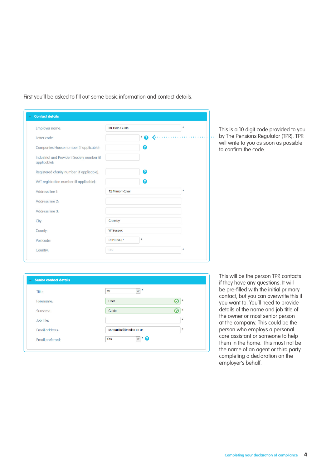| <b>Employer name:</b>                                       | Mr Help Guide   |    | ×  |
|-------------------------------------------------------------|-----------------|----|----|
| Letter code:                                                |                 | Q  |    |
| Companies House number (if applicable):                     |                 | ุค |    |
| Industrial and Provident Society number (if<br>applicable): |                 |    |    |
| Registered charity number (if applicable):                  |                 | ℯ  |    |
| VAT registration number (if applicable):                    |                 | 0  |    |
| Address line 1:                                             | 12 Manor Royal  |    | ×. |
| Address line 2:                                             |                 |    |    |
| Address line 3:                                             |                 |    |    |
| City:                                                       | Crawley         |    |    |
| County:                                                     | <b>W Sussex</b> |    |    |
| Postcode:                                                   | <b>RH10 9QP</b> |    |    |

First you'll be asked to fill out some basic information and contact details.

This is a 10 digit code provided to you by The Pensions Regulator (TPR). TPR will write to you as soon as possible to confirm the code.

| Title:           | $\ast$<br>$\vee$<br>Mr     |             |
|------------------|----------------------------|-------------|
| Forename:        | <b>User</b>                | $\ast$<br>Ω |
| Surname:         | Guide                      | $\ast$<br>⊙ |
| Job title:       |                            | $\ast$      |
| Email address-   | userguide@bandce.co.uk     | $\ast$      |
| Email preferred: | $\cdot$ 0<br>$\vee$<br>Yes |             |

This will be the person TPR contacts if they have any questions. It will be pre-filled with the initial primary contact, but you can overwrite this if you want to. You'll need to provide details of the name and job title of the owner or most senior person at the company. This could be the person who employs a personal care assistant or someone to help them in the home. This must not be the name of an agent or third party completing a declaration on the employer's behalf.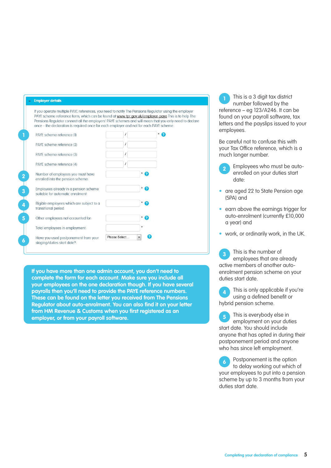### **Employer details**

If you operate multiple PAYE references, you need to notify The Pensions Regulator using the employer PAYE scheme reference form, which can be found at www.tpr.gov.uk/employer-paye This is to help The Pensions Regulator connect all the employers' PAYE schemes and will mean that you only need to declare once - the declaration is required once for each employer and not for each PAYE scheme.

| PAYE scheme reference (1)                                                  |                    |   |
|----------------------------------------------------------------------------|--------------------|---|
| PAYE scheme reference (2)                                                  |                    |   |
| PAYE scheme reference (3)                                                  |                    |   |
| PAYE scheme reference (4)                                                  |                    |   |
| Number of employees you must have<br>enrolled into the pension scheme:     | * 0                |   |
| Employees already in a pension scheme<br>suitable for automatic enrolment: | * 0                |   |
| Eligible employees which are subject to a<br>transitional period:          | ' ဓ                |   |
| Other employees not accounted for:                                         | * Q                |   |
| Total employees in employment:                                             |                    |   |
| Have you used postponement from your<br>staging/duties start date?:        | Please Select<br>۰ | 7 |

**If you have more than one admin account, you don't need to complete the form for each account. Make sure you include all your employees on the one declaration though. If you have several payrolls then you'll need to provide the PAYE reference numbers. These can be found on the letter you received from The Pensions Regulator about auto-enrolment. You can also find it on your letter from HM Revenue & Customs when you first registered as an employer, or from your payroll software.** 

This is a 3 digit tax district number followed by the reference – eg 123/A246. It can be found on your payroll software, tax letters and the payslips issued to your employees. **1**

Be careful not to confuse this with your Tax Office reference, which is a much longer number.

- Employees who must be autoenrolled on your duties start date: **2**
- are aged 22 to State Pension age (SPA) and
- earn above the earnings trigger for auto-enrolment (currently £10,000 a year) and
- work, or ordinarily work, in the UK.

This is the number of employees that are already active members of another autoenrolment pension scheme on your duties start date. **3**

This is only applicable if you're using a defined benefit or hybrid pension scheme. **4**

This is everybody else in employment on your duties start date. You should include anyone that has opted in during their postponement period and anyone who has since left employment. **5**

Postponement is the option to delay working out which of your employees to put into a pension scheme by up to 3 months from your duties start date. **6**